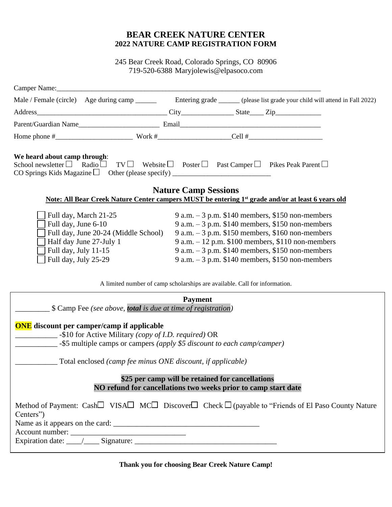#### **BEAR CREEK NATURE CENTER 2022 NATURE CAMP REGISTRATION FORM**

245 Bear Creek Road, Colorado Springs, CO 80906 719-520-6388 Maryjolewis@elpasoco.com

|                                                                                                                         |                                      |                                                                                                                                                                                                                                           | Male / Female (circle) Age during camp _______ Entering grade _____ (please list grade your child will attend in Fall 2022)                                                                                                                                                                                                   |
|-------------------------------------------------------------------------------------------------------------------------|--------------------------------------|-------------------------------------------------------------------------------------------------------------------------------------------------------------------------------------------------------------------------------------------|-------------------------------------------------------------------------------------------------------------------------------------------------------------------------------------------------------------------------------------------------------------------------------------------------------------------------------|
|                                                                                                                         |                                      |                                                                                                                                                                                                                                           |                                                                                                                                                                                                                                                                                                                               |
|                                                                                                                         |                                      |                                                                                                                                                                                                                                           |                                                                                                                                                                                                                                                                                                                               |
|                                                                                                                         |                                      |                                                                                                                                                                                                                                           |                                                                                                                                                                                                                                                                                                                               |
| We heard about camp through:<br>School newsletter $\Box$ Radio $\Box$                                                   |                                      | $TV \Box$ Website $\Box$ Poster $\Box$ Past Camper $\Box$ Pikes Peak Parent $\Box$                                                                                                                                                        |                                                                                                                                                                                                                                                                                                                               |
|                                                                                                                         |                                      | <b>Nature Camp Sessions</b>                                                                                                                                                                                                               | Note: All Bear Creek Nature Center campers MUST be entering 1 <sup>st</sup> grade and/or at least 6 years old                                                                                                                                                                                                                 |
| Full day, March 21-25<br>Full day, June 6-10<br>Half day June 27-July 1<br>Full day, July 11-15<br>Full day, July 25-29 | Full day, June 20-24 (Middle School) |                                                                                                                                                                                                                                           | 9 a.m. $-3$ p.m. \$140 members, \$150 non-members<br>9 a.m. $-3$ p.m. \$140 members, \$150 non-members<br>$9$ a.m. $-3$ p.m. \$150 members, \$160 non-members<br>9 a.m. $-12$ p.m. \$100 members, \$110 non-members<br>9 a.m. $-3$ p.m. \$140 members, \$150 non-members<br>9 a.m. $-3$ p.m. \$140 members, \$150 non-members |
|                                                                                                                         |                                      | A limited number of camp scholarships are available. Call for information.                                                                                                                                                                |                                                                                                                                                                                                                                                                                                                               |
|                                                                                                                         |                                      | <b>Payment</b><br>S Camp Fee (see above, <i>total is due at time of registration</i> )                                                                                                                                                    |                                                                                                                                                                                                                                                                                                                               |
| <b>ONE</b> discount per camper/camp if applicable                                                                       |                                      | -\$10 for Active Military (copy of I.D. required) OR<br>Total enclosed (camp fee minus ONE discount, if applicable)<br>\$25 per camp will be retained for cancellations<br>NO refund for cancellations two weeks prior to camp start date |                                                                                                                                                                                                                                                                                                                               |
| Centers")                                                                                                               |                                      |                                                                                                                                                                                                                                           | Method of Payment: Cash□ VISA□ MC□ Discover□ Check □ (payable to "Friends of El Paso County Nature                                                                                                                                                                                                                            |
|                                                                                                                         |                                      |                                                                                                                                                                                                                                           |                                                                                                                                                                                                                                                                                                                               |